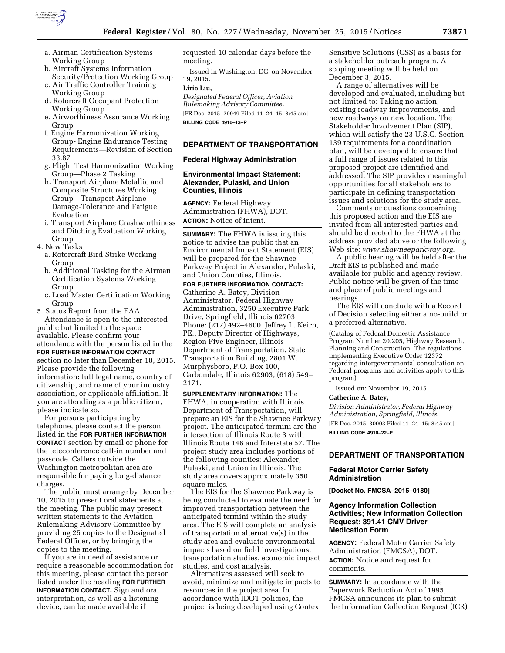

- a. Airman Certification Systems Working Group
- b. Aircraft Systems Information Security/Protection Working Group
- c. Air Traffic Controller Training Working Group
- d. Rotorcraft Occupant Protection Working Group
- e. Airworthiness Assurance Working Group
- f. Engine Harmonization Working Group- Engine Endurance Testing Requirements—Revision of Section 33.87
- g. Flight Test Harmonization Working Group—Phase 2 Tasking
- h. Transport Airplane Metallic and Composite Structures Working Group—Transport Airplane Damage-Tolerance and Fatigue Evaluation
- i. Transport Airplane Crashworthiness and Ditching Evaluation Working Group
- 4. New Tasks
	- a. Rotorcraft Bird Strike Working Group
	- b. Additional Tasking for the Airman Certification Systems Working Group
	- c. Load Master Certification Working Group

5. Status Report from the FAA Attendance is open to the interested public but limited to the space available. Please confirm your attendance with the person listed in the **FOR FURTHER INFORMATION CONTACT** section no later than December 10, 2015. Please provide the following information: full legal name, country of citizenship, and name of your industry association, or applicable affiliation. If you are attending as a public citizen, please indicate so.

For persons participating by telephone, please contact the person listed in the **FOR FURTHER INFORMATION CONTACT** section by email or phone for the teleconference call-in number and passcode. Callers outside the Washington metropolitan area are responsible for paying long-distance charges.

The public must arrange by December 10, 2015 to present oral statements at the meeting. The public may present written statements to the Aviation Rulemaking Advisory Committee by providing 25 copies to the Designated Federal Officer, or by bringing the copies to the meeting.

If you are in need of assistance or require a reasonable accommodation for this meeting, please contact the person listed under the heading **FOR FURTHER INFORMATION CONTACT.** Sign and oral interpretation, as well as a listening device, can be made available if

requested 10 calendar days before the meeting.

Issued in Washington, DC, on November 19, 2015.

# **Lirio Liu,**

*Designated Federal Officer, Aviation Rulemaking Advisory Committee.*  [FR Doc. 2015–29949 Filed 11–24–15; 8:45 am] **BILLING CODE 4910–13–P** 

## **DEPARTMENT OF TRANSPORTATION**

## **Federal Highway Administration**

## **Environmental Impact Statement: Alexander, Pulaski, and Union Counties, Illinois**

**AGENCY:** Federal Highway Administration (FHWA), DOT. **ACTION:** Notice of intent.

**SUMMARY:** The FHWA is issuing this notice to advise the public that an Environmental Impact Statement (EIS) will be prepared for the Shawnee Parkway Project in Alexander, Pulaski, and Union Counties, Illinois.

**FOR FURTHER INFORMATION CONTACT:**  Catherine A. Batey, Division Administrator, Federal Highway Administration, 3250 Executive Park Drive, Springfield, Illinois 62703. Phone: (217) 492–4600. Jeffrey L. Keirn, PE., Deputy Director of Highways, Region Five Engineer, Illinois Department of Transportation, State Transportation Building, 2801 W. Murphysboro, P.O. Box 100, Carbondale, Illinois 62903, (618) 549– 2171.

**SUPPLEMENTARY INFORMATION:** The FHWA, in cooperation with Illinois Department of Transportation, will prepare an EIS for the Shawnee Parkway project. The anticipated termini are the intersection of Illinois Route 3 with Illinois Route 146 and Interstate 57. The project study area includes portions of the following counties: Alexander, Pulaski, and Union in Illinois. The study area covers approximately 350 square miles.

The EIS for the Shawnee Parkway is being conducted to evaluate the need for improved transportation between the anticipated termini within the study area. The EIS will complete an analysis of transportation alternative(s) in the study area and evaluate environmental impacts based on field investigations, transportation studies, economic impact studies, and cost analysis.

Alternatives assessed will seek to avoid, minimize and mitigate impacts to resources in the project area. In accordance with IDOT policies, the project is being developed using Context

Sensitive Solutions (CSS) as a basis for a stakeholder outreach program. A scoping meeting will be held on December 3, 2015.

A range of alternatives will be developed and evaluated, including but not limited to: Taking no action, existing roadway improvements, and new roadways on new location. The Stakeholder Involvement Plan (SIP), which will satisfy the 23 U.S.C. Section 139 requirements for a coordination plan, will be developed to ensure that a full range of issues related to this proposed project are identified and addressed. The SIP provides meaningful opportunities for all stakeholders to participate in defining transportation issues and solutions for the study area.

Comments or questions concerning this proposed action and the EIS are invited from all interested parties and should be directed to the FHWA at the address provided above or the following Web site: *[www.shawneeparkway.org](http://www.shawneeparkway.org)*.

A public hearing will be held after the Draft EIS is published and made available for public and agency review. Public notice will be given of the time and place of public meetings and hearings.

The EIS will conclude with a Record of Decision selecting either a no-build or a preferred alternative.

(Catalog of Federal Domestic Assistance Program Number 20.205, Highway Research, Planning and Construction. The regulations implementing Executive Order 12372 regarding intergovernmental consultation on Federal programs and activities apply to this program)

Issued on: November 19, 2015.

## **Catherine A. Batey,**

*Division Administrator, Federal Highway Administration, Springfield, Illinois.*  [FR Doc. 2015–30003 Filed 11–24–15; 8:45 am]

**BILLING CODE 4910–22–P** 

## **DEPARTMENT OF TRANSPORTATION**

## **Federal Motor Carrier Safety Administration**

**[Docket No. FMCSA–2015–0180]** 

## **Agency Information Collection Activities; New Information Collection Request: 391.41 CMV Driver Medication Form**

**AGENCY:** Federal Motor Carrier Safety Administration (FMCSA), DOT. **ACTION:** Notice and request for comments.

**SUMMARY:** In accordance with the Paperwork Reduction Act of 1995, FMCSA announces its plan to submit the Information Collection Request (ICR)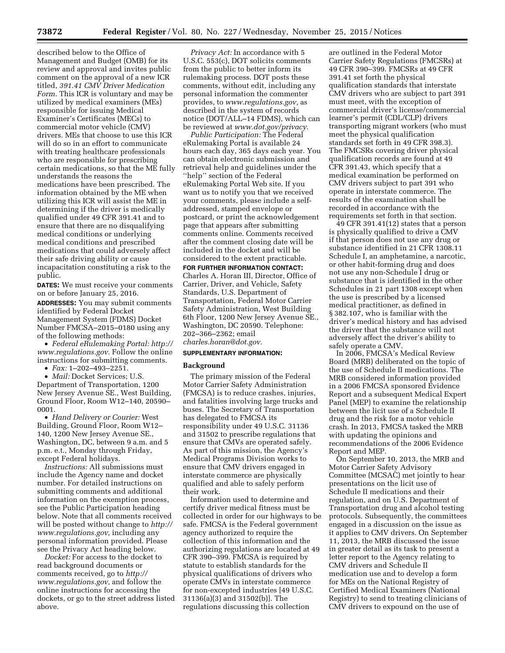described below to the Office of Management and Budget (OMB) for its review and approval and invites public comment on the approval of a new ICR titled, *391.41 CMV Driver Medication Form.* This ICR is voluntary and may be utilized by medical examiners (MEs) responsible for issuing Medical Examiner's Certificates (MECs) to commercial motor vehicle (CMV) drivers. MEs that choose to use this ICR will do so in an effort to communicate with treating healthcare professionals who are responsible for prescribing certain medications, so that the ME fully understands the reasons the medications have been prescribed. The information obtained by the ME when utilizing this ICR will assist the ME in determining if the driver is medically qualified under 49 CFR 391.41 and to ensure that there are no disqualifying medical conditions or underlying medical conditions and prescribed medications that could adversely affect their safe driving ability or cause incapacitation constituting a risk to the public.

**DATES:** We must receive your comments on or before January 25, 2016.

**ADDRESSES:** You may submit comments identified by Federal Docket Management System (FDMS) Docket Number FMCSA–2015–0180 using any of the following methods:

• *Federal eRulemaking Portal: [http://](http://www.regulations.gov)  [www.regulations.gov.](http://www.regulations.gov)* Follow the online instructions for submitting comments.

• *Fax:* 1–202–493–2251.

• *Mail:* Docket Services; U.S. Department of Transportation, 1200 New Jersey Avenue SE., West Building, Ground Floor, Room W12–140, 20590– 0001.

• *Hand Delivery or Courier:* West Building, Ground Floor, Room W12– 140, 1200 New Jersey Avenue SE., Washington, DC, between 9 a.m. and 5 p.m. e.t., Monday through Friday, except Federal holidays.

*Instructions:* All submissions must include the Agency name and docket number. For detailed instructions on submitting comments and additional information on the exemption process, see the Public Participation heading below. Note that all comments received will be posted without change to *[http://](http://www.regulations.gov) [www.regulations.gov,](http://www.regulations.gov)* including any personal information provided. Please see the Privacy Act heading below.

*Docket:* For access to the docket to read background documents or comments received, go to *[http://](http://www.regulations.gov) [www.regulations.gov,](http://www.regulations.gov)* and follow the online instructions for accessing the dockets, or go to the street address listed above.

*Privacy Act:* In accordance with 5 U.S.C. 553(c), DOT solicits comments from the public to better inform its rulemaking process. DOT posts these comments, without edit, including any personal information the commenter provides, to *[www.regulations.gov,](http://www.regulations.gov)* as described in the system of records notice (DOT/ALL–14 FDMS), which can be reviewed at *[www.dot.gov/privacy.](http://www.dot.gov/privacy)* 

*Public Participation:* The Federal eRulemaking Portal is available 24 hours each day, 365 days each year. You can obtain electronic submission and retrieval help and guidelines under the ''help'' section of the Federal eRulemaking Portal Web site. If you want us to notify you that we received your comments, please include a selfaddressed, stamped envelope or postcard, or print the acknowledgement page that appears after submitting comments online. Comments received after the comment closing date will be included in the docket and will be considered to the extent practicable.

**FOR FURTHER INFORMATION CONTACT:**  Charles A. Horan III, Director, Office of Carrier, Driver, and Vehicle, Safety Standards, U.S. Department of Transportation, Federal Motor Carrier Safety Administration, West Building 6th Floor, 1200 New Jersey Avenue SE., Washington, DC 20590. Telephone: 202–366–2362; email *[charles.horan@dot.gov.](mailto:charles.horan@dot.gov)* 

### **SUPPLEMENTARY INFORMATION:**

#### **Background**

The primary mission of the Federal Motor Carrier Safety Administration (FMCSA) is to reduce crashes, injuries, and fatalities involving large trucks and buses. The Secretary of Transportation has delegated to FMCSA its responsibility under 49 U.S.C. 31136 and 31502 to prescribe regulations that ensure that CMVs are operated safely. As part of this mission, the Agency's Medical Programs Division works to ensure that CMV drivers engaged in interstate commerce are physically qualified and able to safely perform their work.

Information used to determine and certify driver medical fitness must be collected in order for our highways to be safe. FMCSA is the Federal government agency authorized to require the collection of this information and the authorizing regulations are located at 49 CFR 390–399. FMCSA is required by statute to establish standards for the physical qualifications of drivers who operate CMVs in interstate commerce for non-excepted industries [49 U.S.C. 31136(a)(3) and 31502(b)]. The regulations discussing this collection

are outlined in the Federal Motor Carrier Safety Regulations (FMCSRs) at 49 CFR 390–399. FMCSRs at 49 CFR 391.41 set forth the physical qualification standards that interstate CMV drivers who are subject to part 391 must meet, with the exception of commercial driver's license/commercial learner's permit (CDL/CLP) drivers transporting migrant workers (who must meet the physical qualification standards set forth in 49 CFR 398.3). The FMCSRs covering driver physical qualification records are found at 49 CFR 391.43, which specify that a medical examination be performed on CMV drivers subject to part 391 who operate in interstate commerce. The results of the examination shall be recorded in accordance with the requirements set forth in that section.

49 CFR 391.41(12) states that a person is physically qualified to drive a CMV if that person does not use any drug or substance identified in 21 CFR 1308.11 Schedule I, an amphetamine, a narcotic, or other habit-forming drug and does not use any non-Schedule I drug or substance that is identified in the other Schedules in 21 part 1308 except when the use is prescribed by a licensed medical practitioner, as defined in § 382.107, who is familiar with the driver's medical history and has advised the driver that the substance will not adversely affect the driver's ability to safely operate a CMV.

In 2006, FMCSA's Medical Review Board (MRB) deliberated on the topic of the use of Schedule II medications. The MRB considered information provided in a 2006 FMCSA sponsored Evidence Report and a subsequent Medical Expert Panel (MEP) to examine the relationship between the licit use of a Schedule II drug and the risk for a motor vehicle crash. In 2013, FMCSA tasked the MRB with updating the opinions and recommendations of the 2006 Evidence Report and MEP.

On September 10, 2013, the MRB and Motor Carrier Safety Advisory Committee (MCSAC) met jointly to hear presentations on the licit use of Schedule II medications and their regulation, and on U.S. Department of Transportation drug and alcohol testing protocols. Subsequently, the committees engaged in a discussion on the issue as it applies to CMV drivers. On September 11, 2013, the MRB discussed the issue in greater detail as its task to present a letter report to the Agency relating to CMV drivers and Schedule II medication use and to develop a form for MEs on the National Registry of Certified Medical Examiners (National Registry) to send to treating clinicians of CMV drivers to expound on the use of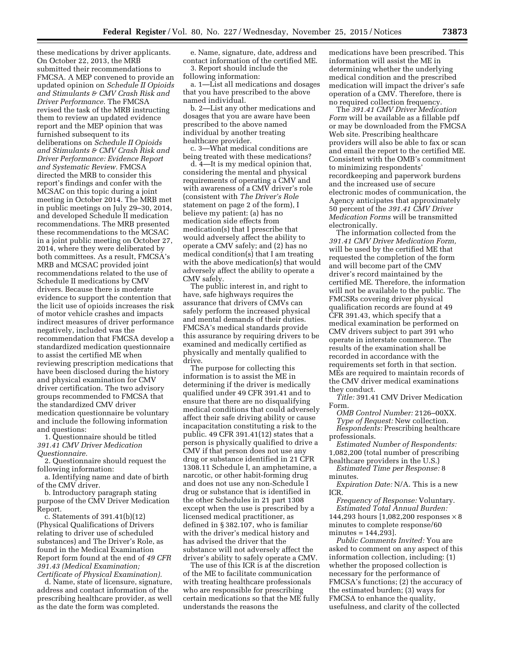these medications by driver applicants. On October 22, 2013, the MRB submitted their recommendations to FMCSA. A MEP convened to provide an updated opinion on *Schedule II Opioids and Stimulants & CMV Crash Risk and Driver Performance.* The FMCSA revised the task of the MRB instructing them to review an updated evidence report and the MEP opinion that was furnished subsequent to its deliberations on *Schedule II Opioids and Stimulants & CMV Crash Risk and Driver Performance: Evidence Report and Systematic Review.* FMCSA directed the MRB to consider this report's findings and confer with the MCSAC on this topic during a joint meeting in October 2014. The MRB met in public meetings on July 29–30, 2014, and developed Schedule II medication recommendations. The MRB presented these recommendations to the MCSAC in a joint public meeting on October 27, 2014, where they were deliberated by both committees. As a result, FMCSA's MRB and MCSAC provided joint recommendations related to the use of Schedule II medications by CMV drivers. Because there is moderate evidence to support the contention that the licit use of opioids increases the risk of motor vehicle crashes and impacts indirect measures of driver performance negatively, included was the recommendation that FMCSA develop a standardized medication questionnaire to assist the certified ME when reviewing prescription medications that have been disclosed during the history and physical examination for CMV driver certification. The two advisory groups recommended to FMCSA that the standardized CMV driver medication questionnaire be voluntary and include the following information and questions:

1. Questionnaire should be titled *391.41 CMV Driver Medication Questionnaire.* 

2. Questionnaire should request the following information:

a. Identifying name and date of birth of the CMV driver.

b. Introductory paragraph stating purpose of the CMV Driver Medication Report.

c. Statements of 391.41(b)(12) (Physical Qualifications of Drivers relating to driver use of scheduled substances) and The Driver's Role, as found in the Medical Examination Report form found at the end of *49 CFR 391.43 (Medical Examination; Certificate of Physical Examination).* 

d. Name, state of licensure, signature, address and contact information of the prescribing healthcare provider, as well as the date the form was completed.

e. Name, signature, date, address and contact information of the certified ME. 3. Report should include the

following information:

a. 1—List all medications and dosages that you have prescribed to the above named individual.

b. 2—List any other medications and dosages that you are aware have been prescribed to the above named individual by another treating healthcare provider.

c. 3—What medical conditions are being treated with these medications?

d. 4—It is my medical opinion that, considering the mental and physical requirements of operating a CMV and with awareness of a CMV driver's role (consistent with *The Driver's Role*  statement on page 2 of the form), I believe my patient: (a) has no medication side effects from medication(s) that I prescribe that would adversely affect the ability to operate a CMV safely; and (2) has no medical condition(s) that I am treating with the above medication(s) that would adversely affect the ability to operate a CMV safely.

The public interest in, and right to have, safe highways requires the assurance that drivers of CMVs can safely perform the increased physical and mental demands of their duties. FMCSA's medical standards provide this assurance by requiring drivers to be examined and medically certified as physically and mentally qualified to drive.

The purpose for collecting this information is to assist the ME in determining if the driver is medically qualified under 49 CFR 391.41 and to ensure that there are no disqualifying medical conditions that could adversely affect their safe driving ability or cause incapacitation constituting a risk to the public. 49 CFR 391.41(12) states that a person is physically qualified to drive a CMV if that person does not use any drug or substance identified in 21 CFR 1308.11 Schedule I, an amphetamine, a narcotic, or other habit-forming drug and does not use any non-Schedule I drug or substance that is identified in the other Schedules in 21 part 1308 except when the use is prescribed by a licensed medical practitioner, as defined in § 382.107, who is familiar with the driver's medical history and has advised the driver that the substance will not adversely affect the driver's ability to safely operate a CMV.

The use of this ICR is at the discretion of the ME to facilitate communication with treating healthcare professionals who are responsible for prescribing certain medications so that the ME fully understands the reasons the

medications have been prescribed. This information will assist the ME in determining whether the underlying medical condition and the prescribed medication will impact the driver's safe operation of a CMV. Therefore, there is no required collection frequency.

The *391.41 CMV Driver Medication Form* will be available as a fillable pdf or may be downloaded from the FMCSA Web site. Prescribing healthcare providers will also be able to fax or scan and email the report to the certified ME. Consistent with the OMB's commitment to minimizing respondents' recordkeeping and paperwork burdens and the increased use of secure electronic modes of communication, the Agency anticipates that approximately 50 percent of the *391.41 CMV Driver Medication Forms* will be transmitted electronically.

The information collected from the *391.41 CMV Driver Medication Form,*  will be used by the certified ME that requested the completion of the form and will become part of the CMV driver's record maintained by the certified ME. Therefore, the information will not be available to the public. The FMCSRs covering driver physical qualification records are found at 49 CFR 391.43, which specify that a medical examination be performed on CMV drivers subject to part 391 who operate in interstate commerce. The results of the examination shall be recorded in accordance with the requirements set forth in that section. MEs are required to maintain records of the CMV driver medical examinations they conduct.

*Title:* 391.41 CMV Driver Medication Form.

*OMB Control Number:* 2126–00XX. *Type of Request:* New collection. *Respondents:* Prescribing healthcare professionals.

*Estimated Number of Respondents:*  1,082,200 (total number of prescribing healthcare providers in the U.S.)

*Estimated Time per Response:* 8 minutes.

*Expiration Date:* N/A. This is a new ICR.

*Frequency of Response:* Voluntary. *Estimated Total Annual Burden:*  144,293 hours [1,082,200 responses × 8 minutes to complete response/60 minutes = 144,293].

*Public Comments Invited:* You are asked to comment on any aspect of this information collection, including: (1) whether the proposed collection is necessary for the performance of FMCSA's functions; (2) the accuracy of the estimated burden; (3) ways for FMCSA to enhance the quality, usefulness, and clarity of the collected